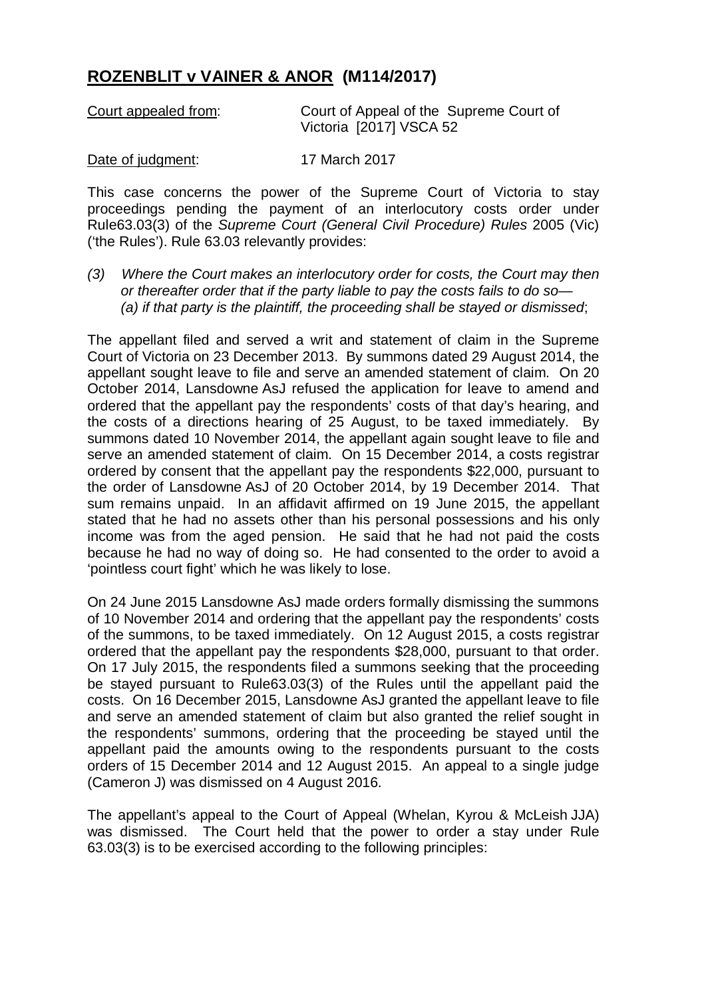## **ROZENBLIT v VAINER & ANOR (M114/2017)**

| Court appealed from: | Court of Appeal of the Supreme Court of |
|----------------------|-----------------------------------------|
|                      | Victoria [2017] VSCA 52                 |

## Date of judgment: 17 March 2017

This case concerns the power of the Supreme Court of Victoria to stay proceedings pending the payment of an interlocutory costs order under Rule63.03(3) of the *Supreme Court (General Civil Procedure) Rules* 2005 (Vic) ('the Rules'). Rule 63.03 relevantly provides:

*(3) Where the Court makes an interlocutory order for costs, the Court may then or thereafter order that if the party liable to pay the costs fails to do so— (a) if that party is the plaintiff, the proceeding shall be stayed or dismissed*;

The appellant filed and served a writ and statement of claim in the Supreme Court of Victoria on 23 December 2013. By summons dated 29 August 2014, the appellant sought leave to file and serve an amended statement of claim. On 20 October 2014, Lansdowne AsJ refused the application for leave to amend and ordered that the appellant pay the respondents' costs of that day's hearing, and the costs of a directions hearing of 25 August, to be taxed immediately. By summons dated 10 November 2014, the appellant again sought leave to file and serve an amended statement of claim. On 15 December 2014, a costs registrar ordered by consent that the appellant pay the respondents \$22,000, pursuant to the order of Lansdowne AsJ of 20 October 2014, by 19 December 2014. That sum remains unpaid. In an affidavit affirmed on 19 June 2015, the appellant stated that he had no assets other than his personal possessions and his only income was from the aged pension. He said that he had not paid the costs because he had no way of doing so. He had consented to the order to avoid a 'pointless court fight' which he was likely to lose.

On 24 June 2015 Lansdowne AsJ made orders formally dismissing the summons of 10 November 2014 and ordering that the appellant pay the respondents' costs of the summons, to be taxed immediately. On 12 August 2015, a costs registrar ordered that the appellant pay the respondents \$28,000, pursuant to that order. On 17 July 2015, the respondents filed a summons seeking that the proceeding be stayed pursuant to Rule63.03(3) of the Rules until the appellant paid the costs. On 16 December 2015, Lansdowne AsJ granted the appellant leave to file and serve an amended statement of claim but also granted the relief sought in the respondents' summons, ordering that the proceeding be stayed until the appellant paid the amounts owing to the respondents pursuant to the costs orders of 15 December 2014 and 12 August 2015. An appeal to a single judge (Cameron J) was dismissed on 4 August 2016.

The appellant's appeal to the Court of Appeal (Whelan, Kyrou & McLeish JJA) was dismissed. The Court held that the power to order a stay under Rule 63.03(3) is to be exercised according to the following principles: